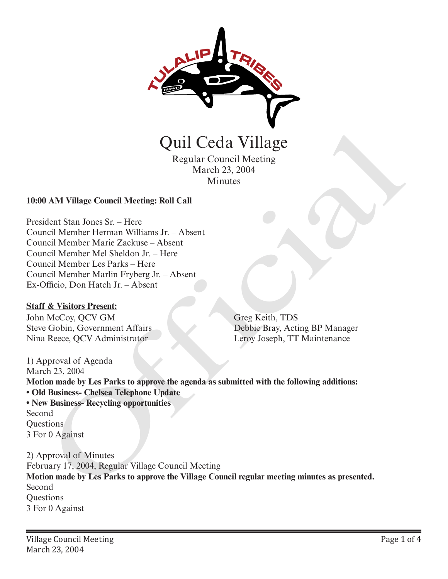

Quil Ceda Village

Regular Council Meeting March 23, 2004 Minutes

## **10:00 AM Village Council Meeting: Roll Call**

President Stan Jones Sr. – Here Council Member Herman Williams Jr. – Absent Council Member Marie Zackuse – Absent Council Member Mel Sheldon Jr. – Here Council Member Les Parks – Here Council Member Marlin Fryberg Jr. – Absent Ex-Officio, Don Hatch Jr. – Absent

### **Staff & Visitors Present:**

John McCoy, QCV GM Steve Gobin, Government Affairs Nina Reece, QCV Administrator

Greg Keith, TDS Debbie Bray, Acting BP Manager Leroy Joseph, TT Maintenance

1) Approval of Agenda March 23, 2004 **Motion made by Les Parks to approve the agenda as submitted with the following additions: • Old Business- Chelsea Telephone Update • New Business- Recycling opportunities** Second Questions 3 For 0 Against Quill Ceda Village<br>
Regular Council Meeting<br>
March 23, 2004<br>
Minutes<br>
March 23, 2004<br>
Minutes<br>
March 23, 2004<br>
Minutes<br>
March 23, 2004<br>
March 2018<br>
Member Herman Williams Jr. – Absent<br>
mcil Member Marie Zaukusa – Absent<br>
m

2) Approval of Minutes February 17, 2004, Regular Village Council Meeting **Motion made by Les Parks to approve the Village Council regular meeting minutes as presented.** Second **Questions** 3 For 0 Against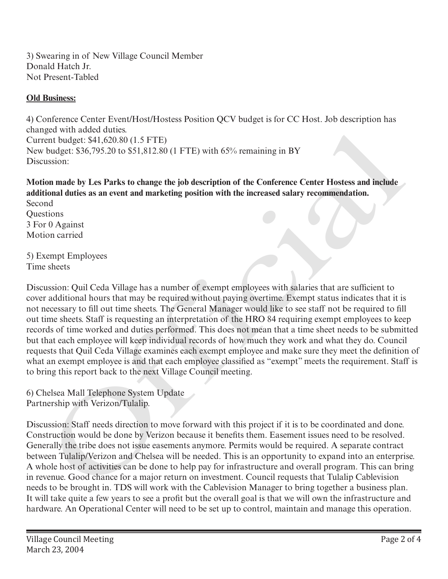3) Swearing in of New Village Council Member Donald Hatch Jr. Not Present-Tabled

# **Old Business:**

4) Conference Center Event/Host/Hostess Position QCV budget is for CC Host. Job description has changed with added duties. Current budget: \$41,620.80 (1.5 FTE) New budget: \$36,795.20 to \$51,812.80 (1 FTE) with 65% remaining in BY Discussion:

**Motion made by Les Parks to change the job description of the Conference Center Hostess and include additional duties as an event and marketing position with the increased salary recommendation. Second** 

**Ouestions** 3 For 0 Against Motion carried

5) Exempt Employees Time sheets

Discussion: Quil Ceda Village has a number of exempt employees with salaries that are sufficient to cover additional hours that may be required without paying overtime. Exempt status indicates that it is not necessary to fill out time sheets. The General Manager would like to see staff not be required to fill out time sheets. Staff is requesting an interpretation of the HRO 84 requiring exempt employees to keep records of time worked and duties performed. This does not mean that a time sheet needs to be submitted but that each employee will keep individual records of how much they work and what they do. Council requests that Quil Ceda Village examines each exempt employee and make sure they meet the definition of what an exempt employee is and that each employee classified as "exempt" meets the requirement. Staff is to bring this report back to the next Village Council meeting. geat Win data data dares.<br>
The data data dares and the content is the relation of the content in the relation of the content is 36,795.20 to \$51.812.80 (1 FTE) with 65% remaining in BY<br>
budget: 536,795.20 to \$51.812.80 (1

6) Chelsea Mall Telephone System Update Partnership with Verizon/Tulalip.

Discussion: Staff needs direction to move forward with this project if it is to be coordinated and done. Construction would be done by Verizon because it benefits them. Easement issues need to be resolved. Generally the tribe does not issue easements anymore. Permits would be required. A separate contract between Tulalip/Verizon and Chelsea will be needed. This is an opportunity to expand into an enterprise. A whole host of activities can be done to help pay for infrastructure and overall program. This can bring in revenue. Good chance for a major return on investment. Council requests that Tulalip Cablevision needs to be brought in. TDS will work with the Cablevision Manager to bring together a business plan. It will take quite a few years to see a profit but the overall goal is that we will own the infrastructure and hardware. An Operational Center will need to be set up to control, maintain and manage this operation.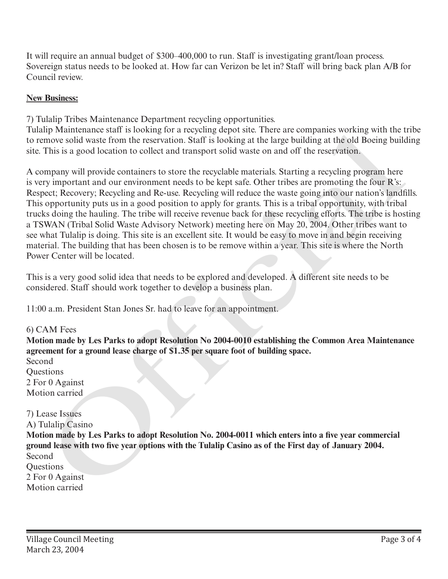It will require an annual budget of \$300–400,000 to run. Staff is investigating grant/loan process. Sovereign status needs to be looked at. How far can Verizon be let in? Staff will bring back plan A/B for Council review.

# **New Business:**

7) Tulalip Tribes Maintenance Department recycling opportunities.

Tulalip Maintenance staff is looking for a recycling depot site. There are companies working with the tribe to remove solid waste from the reservation. Staff is looking at the large building at the old Boeing building site. This is a good location to collect and transport solid waste on and off the reservation.

A company will provide containers to store the recyclable materials. Starting a recycling program here is very important and our environment needs to be kept safe. Other tribes are promoting the four R's: Respect; Recovery; Recycling and Re-use. Recycling will reduce the waste going into our nation's landfills. This opportunity puts us in a good position to apply for grants. This is a tribal opportunity, with tribal trucks doing the hauling. The tribe will receive revenue back for these recycling efforts. The tribe is hosting a TSWAN (Tribal Solid Waste Advisory Network) meeting here on May 20, 2004. Other tribes want to see what Tulalip is doing. This site is an excellent site. It would be easy to move in and begin receiving material. The building that has been chosen is to be remove within a year. This site is where the North Power Center will be located.

This is a very good solid idea that needs to be explored and developed. A different site needs to be considered. Staff should work together to develop a business plan.

11:00 a.m. President Stan Jones Sr. had to leave for an appointment.

6) CAM Fees **Motion made by Les Parks to adopt Resolution No 2004-0010 establishing the Common Area Maintenance agreement for a ground lease charge of \$1.35 per square foot of building space.**  Second Questions 2 For 0 Against Motion carried 7) Lease Issues A) Tulalip Casino **Motion made by Les Parks to adopt Resolution No. 2004-0011 which enters into a five year commercial ground lease with two five year options with the Tulalip Casino as of the First day of January 2004.**  Second **Ouestions** 2 For 0 Against Tuality Mantananes start is looking for a resyoning depot site. Inele are companis working with the Universal to the metrom and off the reservation. Staff is looking at the large building at the doll Boeing building Matte